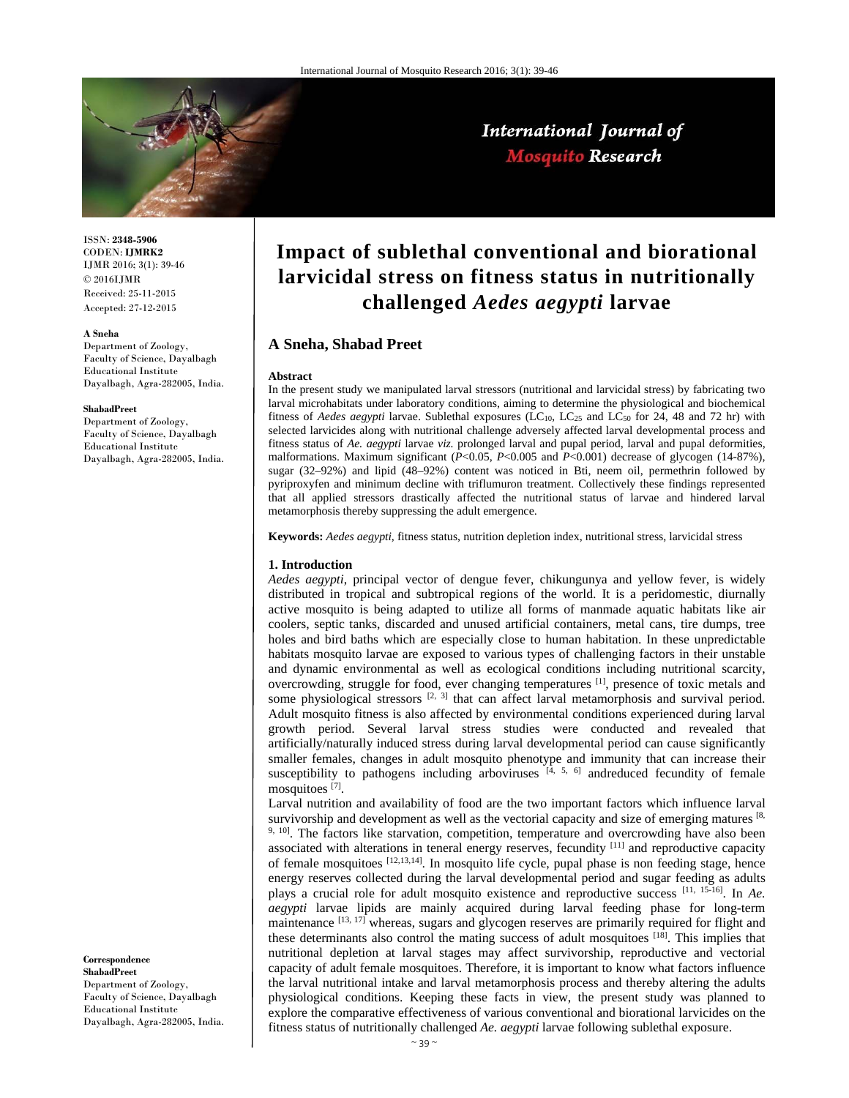

ISSN: **2348-5906** CODEN: **IJMRK2** IJMR 2016; 3(1): 39-46 © 2016IJMR Received: 25-11-2015 Accepted: 27-12-2015

#### **A Sneha**

Department of Zoology, Faculty of Science, Dayalbagh Educational Institute Dayalbagh, Agra-282005, India.

#### **ShabadPreet**

Department of Zoology, Faculty of Science, Dayalbagh Educational Institute Dayalbagh, Agra-282005, India.

**Correspondence**

**ShabadPreet**  Department of Zoology, Faculty of Science, Dayalbagh Educational Institute Dayalbagh, Agra-282005, India.

# **Impact of sublethal conventional and biorational larvicidal stress on fitness status in nutritionally challenged** *Aedes aegypti* **larvae**

International Journal of **Mosquito Research** 

# **A Sneha, Shabad Preet**

#### **Abstract**

In the present study we manipulated larval stressors (nutritional and larvicidal stress) by fabricating two larval microhabitats under laboratory conditions, aiming to determine the physiological and biochemical fitness of *Aedes aegypti* larvae. Sublethal exposures (LC<sub>10</sub>, LC<sub>25</sub> and LC<sub>50</sub> for 24, 48 and 72 hr) with selected larvicides along with nutritional challenge adversely affected larval developmental process and fitness status of *Ae. aegypti* larvae *viz.* prolonged larval and pupal period, larval and pupal deformities, malformations. Maximum significant (*P*<0.05, *P*<0.005 and *P*<0.001) decrease of glycogen (14-87%), sugar (32–92%) and lipid (48–92%) content was noticed in Bti, neem oil, permethrin followed by pyriproxyfen and minimum decline with triflumuron treatment. Collectively these findings represented that all applied stressors drastically affected the nutritional status of larvae and hindered larval metamorphosis thereby suppressing the adult emergence.

**Keywords:** *Aedes aegypti*, fitness status, nutrition depletion index, nutritional stress, larvicidal stress

## **1. Introduction**

*Aedes aegypti*, principal vector of dengue fever, chikungunya and yellow fever, is widely distributed in tropical and subtropical regions of the world. It is a peridomestic, diurnally active mosquito is being adapted to utilize all forms of manmade aquatic habitats like air coolers, septic tanks, discarded and unused artificial containers, metal cans, tire dumps, tree holes and bird baths which are especially close to human habitation. In these unpredictable habitats mosquito larvae are exposed to various types of challenging factors in their unstable and dynamic environmental as well as ecological conditions including nutritional scarcity, overcrowding, struggle for food, ever changing temperatures  $\left[1\right]$ , presence of toxic metals and some physiological stressors  $[2, 3]$  that can affect larval metamorphosis and survival period. Adult mosquito fitness is also affected by environmental conditions experienced during larval growth period. Several larval stress studies were conducted and revealed that artificially/naturally induced stress during larval developmental period can cause significantly smaller females, changes in adult mosquito phenotype and immunity that can increase their susceptibility to pathogens including arboviruses  $[4, 5, 6]$  andreduced fecundity of female mosquitoes [7].

Larval nutrition and availability of food are the two important factors which influence larval survivorship and development as well as the vectorial capacity and size of emerging matures  $[8, 8]$ <sup>9, 10</sup>. The factors like starvation, competition, temperature and overcrowding have also been associated with alterations in teneral energy reserves, fecundity <sup>[11]</sup> and reproductive capacity of female mosquitoes [12,13,14]. In mosquito life cycle, pupal phase is non feeding stage, hence energy reserves collected during the larval developmental period and sugar feeding as adults plays a crucial role for adult mosquito existence and reproductive success [11, 15-16]. In *Ae. aegypti* larvae lipids are mainly acquired during larval feeding phase for long-term maintenance [13, 17] whereas, sugars and glycogen reserves are primarily required for flight and these determinants also control the mating success of adult mosquitoes [18]. This implies that nutritional depletion at larval stages may affect survivorship, reproductive and vectorial capacity of adult female mosquitoes. Therefore, it is important to know what factors influence the larval nutritional intake and larval metamorphosis process and thereby altering the adults physiological conditions. Keeping these facts in view, the present study was planned to explore the comparative effectiveness of various conventional and biorational larvicides on the fitness status of nutritionally challenged *Ae. aegypti* larvae following sublethal exposure.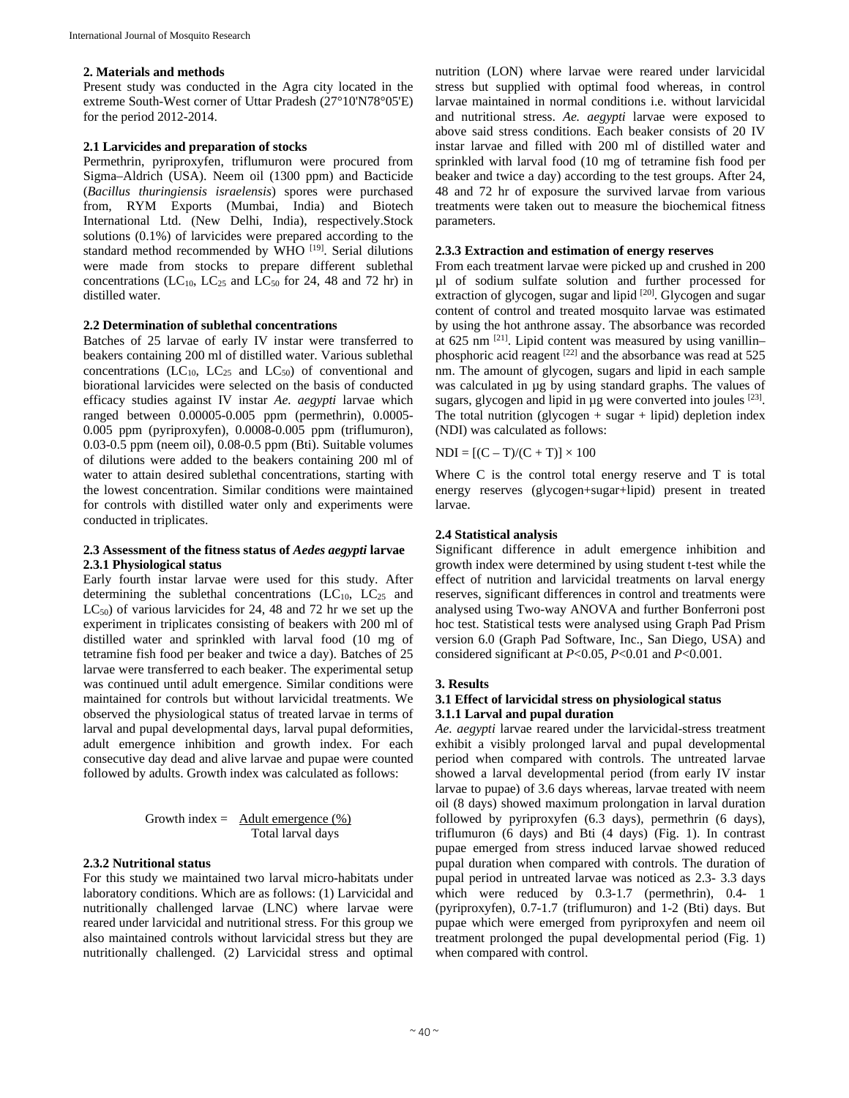## **2. Materials and methods**

Present study was conducted in the Agra city located in the extreme South-West corner of Uttar Pradesh (27°10'N78°05'E) for the period 2012-2014.

## **2.1 Larvicides and preparation of stocks**

Permethrin, pyriproxyfen, triflumuron were procured from Sigma–Aldrich (USA). Neem oil (1300 ppm) and Bacticide (*Bacillus thuringiensis israelensis*) spores were purchased from, RYM Exports (Mumbai, India) and Biotech International Ltd. (New Delhi, India), respectively.Stock solutions (0.1%) of larvicides were prepared according to the standard method recommended by WHO [19]. Serial dilutions were made from stocks to prepare different sublethal concentrations (LC<sub>10</sub>, LC<sub>25</sub> and LC<sub>50</sub> for 24, 48 and 72 hr) in distilled water.

## **2.2 Determination of sublethal concentrations**

Batches of 25 larvae of early IV instar were transferred to beakers containing 200 ml of distilled water. Various sublethal concentrations  $(LC_{10}$ ,  $LC_{25}$  and  $LC_{50}$ ) of conventional and biorational larvicides were selected on the basis of conducted efficacy studies against IV instar *Ae. aegypti* larvae which ranged between 0.00005-0.005 ppm (permethrin), 0.0005- 0.005 ppm (pyriproxyfen), 0.0008-0.005 ppm (triflumuron), 0.03-0.5 ppm (neem oil), 0.08-0.5 ppm (Bti). Suitable volumes of dilutions were added to the beakers containing 200 ml of water to attain desired sublethal concentrations, starting with the lowest concentration. Similar conditions were maintained for controls with distilled water only and experiments were conducted in triplicates.

# **2.3 Assessment of the fitness status of** *Aedes aegypti* **larvae 2.3.1 Physiological status**

Early fourth instar larvae were used for this study. After determining the sublethal concentrations  $(LC_{10}, LC_{25}$  and  $LC_{50}$ ) of various larvicides for 24, 48 and 72 hr we set up the experiment in triplicates consisting of beakers with 200 ml of distilled water and sprinkled with larval food (10 mg of tetramine fish food per beaker and twice a day). Batches of 25 larvae were transferred to each beaker. The experimental setup was continued until adult emergence. Similar conditions were maintained for controls but without larvicidal treatments. We observed the physiological status of treated larvae in terms of larval and pupal developmental days, larval pupal deformities, adult emergence inhibition and growth index. For each consecutive day dead and alive larvae and pupae were counted followed by adults. Growth index was calculated as follows:

Growth index = 
$$
\frac{\text{Adult emergence } (\%)}{\text{Total larval days}}
$$

## **2.3.2 Nutritional status**

For this study we maintained two larval micro-habitats under laboratory conditions. Which are as follows: (1) Larvicidal and nutritionally challenged larvae (LNC) where larvae were reared under larvicidal and nutritional stress. For this group we also maintained controls without larvicidal stress but they are nutritionally challenged. (2) Larvicidal stress and optimal nutrition (LON) where larvae were reared under larvicidal stress but supplied with optimal food whereas, in control larvae maintained in normal conditions i.e. without larvicidal and nutritional stress. *Ae. aegypti* larvae were exposed to above said stress conditions. Each beaker consists of 20 IV instar larvae and filled with 200 ml of distilled water and sprinkled with larval food (10 mg of tetramine fish food per beaker and twice a day) according to the test groups. After 24, 48 and 72 hr of exposure the survived larvae from various treatments were taken out to measure the biochemical fitness parameters.

## **2.3.3 Extraction and estimation of energy reserves**

From each treatment larvae were picked up and crushed in 200 µl of sodium sulfate solution and further processed for extraction of glycogen, sugar and lipid  $[20]$ . Glycogen and sugar content of control and treated mosquito larvae was estimated by using the hot anthrone assay. The absorbance was recorded at 625 nm [21]. Lipid content was measured by using vanillin– phosphoric acid reagent  $[22]$  and the absorbance was read at 525 nm. The amount of glycogen, sugars and lipid in each sample was calculated in µg by using standard graphs. The values of sugars, glycogen and lipid in µg were converted into joules [23]. The total nutrition (glycogen  $+$  sugar  $+$  lipid) depletion index (NDI) was calculated as follows:

 $NDI = [(C - T)/(C + T)] \times 100$ 

Where C is the control total energy reserve and T is total energy reserves (glycogen+sugar+lipid) present in treated larvae.

## **2.4 Statistical analysis**

Significant difference in adult emergence inhibition and growth index were determined by using student t-test while the effect of nutrition and larvicidal treatments on larval energy reserves, significant differences in control and treatments were analysed using Two-way ANOVA and further Bonferroni post hoc test. Statistical tests were analysed using Graph Pad Prism version 6.0 (Graph Pad Software, Inc., San Diego, USA) and considered significant at *P*<0.05, *P*<0.01 and *P*<0.001.

#### **3. Results**

# **3.1 Effect of larvicidal stress on physiological status 3.1.1 Larval and pupal duration**

*Ae. aegypti* larvae reared under the larvicidal-stress treatment exhibit a visibly prolonged larval and pupal developmental period when compared with controls. The untreated larvae showed a larval developmental period (from early IV instar larvae to pupae) of 3.6 days whereas, larvae treated with neem oil (8 days) showed maximum prolongation in larval duration followed by pyriproxyfen (6.3 days), permethrin (6 days), triflumuron  $(6 \text{ days})$  and Bti  $(4 \text{ days})$  (Fig. 1). In contrast pupae emerged from stress induced larvae showed reduced pupal duration when compared with controls. The duration of pupal period in untreated larvae was noticed as 2.3- 3.3 days which were reduced by 0.3-1.7 (permethrin), 0.4- 1 (pyriproxyfen), 0.7-1.7 (triflumuron) and 1-2 (Bti) days. But pupae which were emerged from pyriproxyfen and neem oil treatment prolonged the pupal developmental period (Fig. 1) when compared with control.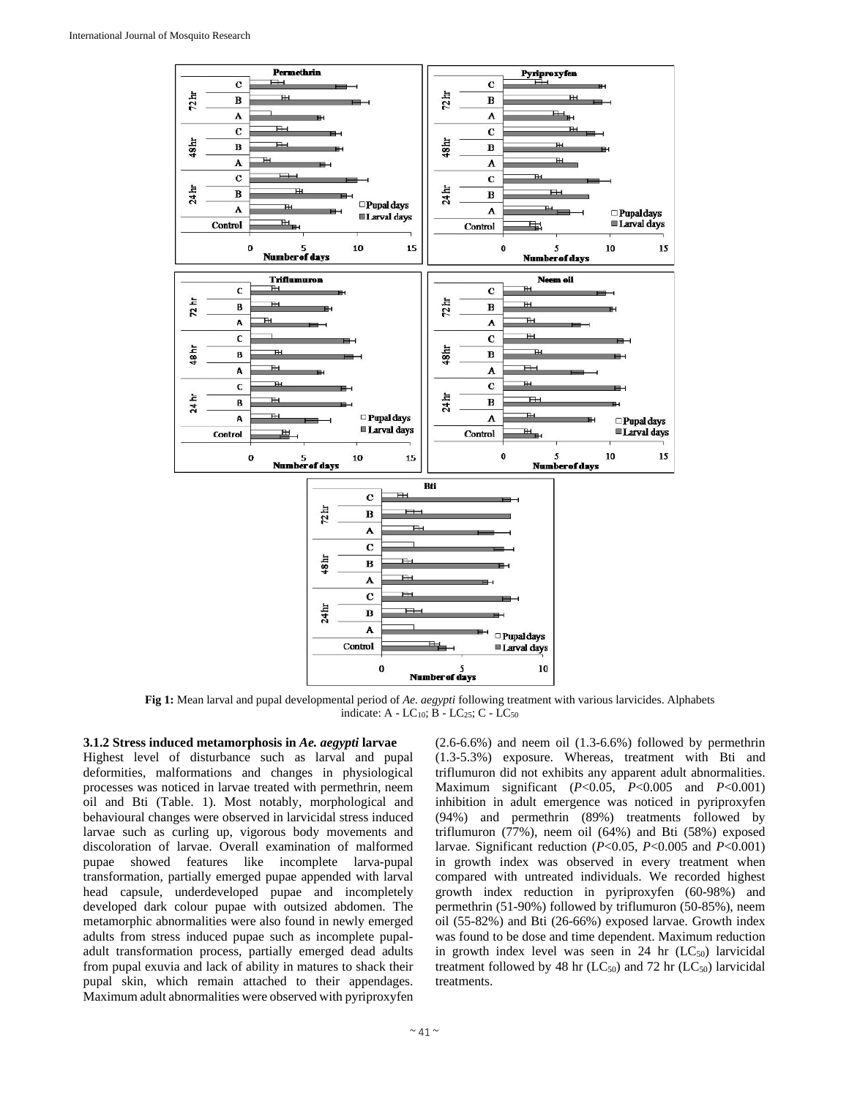

**Fig 1:** Mean larval and pupal developmental period of *Ae. aegypti* following treatment with various larvicides. Alphabets indicate: A - LC<sub>10</sub>; B - LC<sub>25</sub>; C - LC<sub>50</sub>

## **3.1.2 Stress induced metamorphosis in** *Ae. aegypti* **larvae**

Highest level of disturbance such as larval and pupal deformities, malformations and changes in physiological processes was noticed in larvae treated with permethrin, neem oil and Bti (Table. 1). Most notably, morphological and behavioural changes were observed in larvicidal stress induced larvae such as curling up, vigorous body movements and discoloration of larvae. Overall examination of malformed pupae showed features like incomplete larva-pupal transformation, partially emerged pupae appended with larval head capsule, underdeveloped pupae and incompletely developed dark colour pupae with outsized abdomen. The metamorphic abnormalities were also found in newly emerged adults from stress induced pupae such as incomplete pupaladult transformation process, partially emerged dead adults from pupal exuvia and lack of ability in matures to shack their pupal skin, which remain attached to their appendages. Maximum adult abnormalities were observed with pyriproxyfen  $(2.6-6.6%)$  and neem oil  $(1.3-6.6%)$  followed by permethrin (1.3-5.3%) exposure. Whereas, treatment with Bti and triflumuron did not exhibits any apparent adult abnormalities. Maximum significant (*P*<0.05, *P*<0.005 and *P*<0.001) inhibition in adult emergence was noticed in pyriproxyfen (94%) and permethrin (89%) treatments followed by triflumuron (77%), neem oil (64%) and Bti (58%) exposed larvae. Significant reduction (*P*<0.05, *P*<0.005 and *P*<0.001) in growth index was observed in every treatment when compared with untreated individuals. We recorded highest growth index reduction in pyriproxyfen (60-98%) and permethrin (51-90%) followed by triflumuron (50-85%), neem oil (55-82%) and Bti (26-66%) exposed larvae. Growth index was found to be dose and time dependent. Maximum reduction in growth index level was seen in  $24$  hr  $(LC_{50})$  larvicidal treatment followed by 48 hr  $(LC_{50})$  and 72 hr  $(LC_{50})$  larvicidal treatments.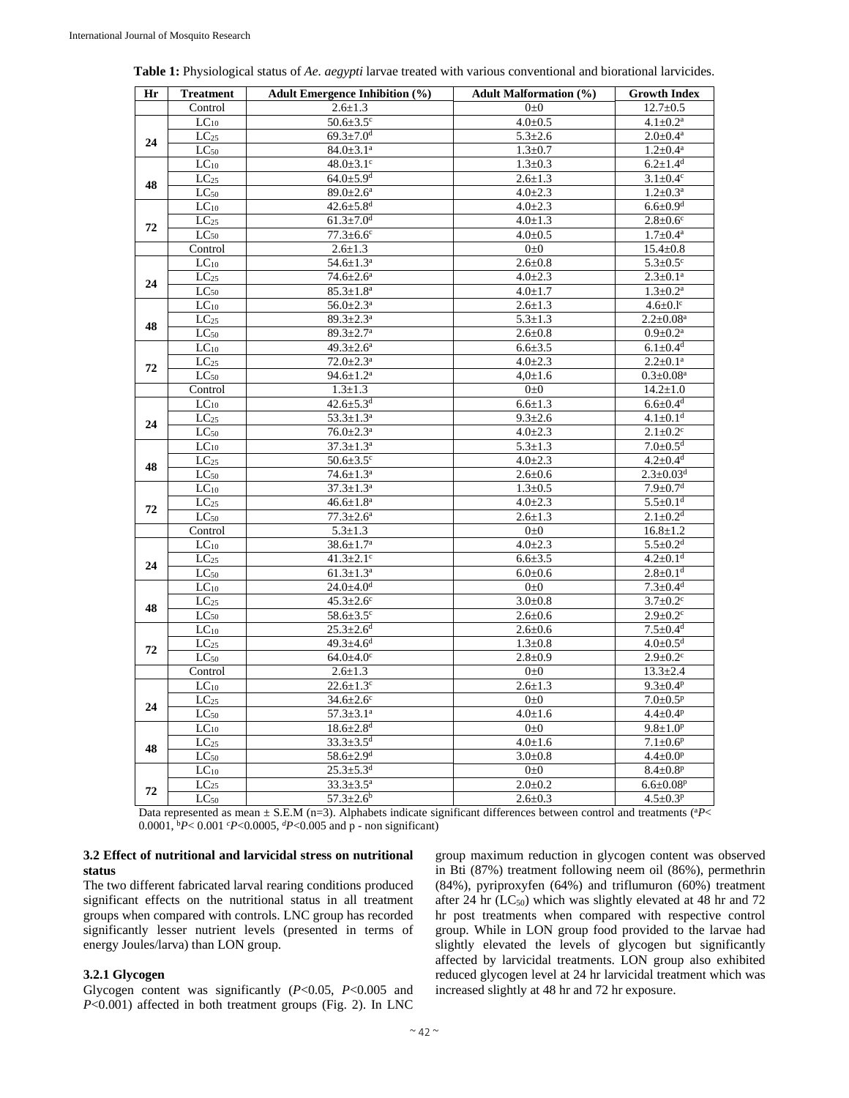| Hr | <b>Treatment</b>     | <b>Adult Emergence Inhibition (%)</b> | <b>Adult Malformation (%)</b> | <b>Growth Index</b>         |
|----|----------------------|---------------------------------------|-------------------------------|-----------------------------|
|    | Control              | $2.6 \pm 1.3$                         | $0\pm 0$                      | $12.7 \pm 0.5$              |
| 24 | $LC_{10}$            | $50.6 \pm 3.5$ <sup>c</sup>           | $4.0 + 0.5$                   | $4.1 \pm 0.2^{\text{a}}$    |
|    | $\overline{LC}_{25}$ | $69.3 \pm 7.0$ <sup>d</sup>           | $5.3 \pm 2.6$                 | $2.0 \pm 0.4^{\text{a}}$    |
|    | $LC_{50}$            | $84.0 \pm 3.1$ <sup>a</sup>           | $1.3 + 0.7$                   | $1.2 \pm 0.4^a$             |
| 48 | $\overline{LC}_{10}$ | $48.0 \pm 3.1$ <sup>c</sup>           | $1.3 \pm 0.3$                 | $6.2 \pm 1.4$ <sup>d</sup>  |
|    | LC <sub>25</sub>     | $64.0{\pm}5.9^{d}$                    | $2.6 \pm 1.3$                 | $3.1 \pm 0.4^c$             |
|    | $LC_{50}$            | $89.0 \pm 2.6^{\mathrm{a}}$           | $4.0 \pm 2.3$                 | $1.2 \pm 0.3^a$             |
|    | $LC_{10}$            | $42.6 \pm 5.8$ <sup>d</sup>           | $4.0 \pm 2.3$                 | $6.6 \pm 0.9$ <sup>d</sup>  |
| 72 | LC <sub>25</sub>     | $61.3 \pm 7.0$ <sup>d</sup>           | $4.0 \pm 1.3$                 | $2.8 \pm 0.6^c$             |
|    | $LC_{50}$            | $77.3 \pm 6.6$ c                      | $4.0 + 0.5$                   | $1.7 + 0.4^a$               |
|    | Control              | $2.6 \pm 1.3$                         | $0\pm 0$                      | $15.4 \pm 0.8$              |
| 24 | $LC_{10}$            | $54.6 \pm 1.3^a$                      | $2.6 \pm 0.8$                 | $5.3 \pm 0.5$ <sup>c</sup>  |
|    | $LC_{25}$            | $74.6 \pm 2.6^{\mathrm{a}}$           | $4.0 \pm 2.3$                 | $2.3 \pm 0.1^a$             |
|    | $LC_{50}$            | $85.3 \pm 1.8^a$                      | $4.0 \pm 1.7$                 | $1.3 \pm 0.2^a$             |
| 48 | $LC_{10}$            | $56.0 \pm 2.3^{\text{a}}$             | $2.6 \pm 1.3$                 | $4.6 \pm 0.1$ <sup>c</sup>  |
|    | LC <sub>25</sub>     | $89.3 \pm 2.3^{\mathrm{a}}$           | $5.3 \pm 1.3$                 | $2.2 \pm 0.08^a$            |
|    | $LC_{50}$            | $89.3 \pm 2.7$ <sup>a</sup>           | $2.6 \pm 0.8$                 | $0.9 \pm 0.2^{\text{a}}$    |
| 72 | $LC_{10}$            | $49.3 \pm 2.6^a$                      | $6.6 \pm 3.5$                 | $6.1 \pm 0.4$ <sup>d</sup>  |
|    | LC <sub>25</sub>     | $72.0 \pm 2.3$ <sup>a</sup>           | $4.0 \pm 2.3$                 | $2.2 \pm 0.1$ <sup>a</sup>  |
|    | $LC_{50}$            | $94.6 \pm 1.2^a$                      | $4.0 \pm 1.6$                 | $0.3 \pm 0.08^a$            |
|    | Control              | $1.3 \pm 1.3$                         | $0\pm 0$                      | $14.2 \pm 1.0$              |
| 24 | $LC_{10}$            | $42.6 \pm 5.3$ <sup>d</sup>           | $6.6 \pm 1.3$                 | $6.6 \pm 0.4$ <sup>d</sup>  |
|    | LC <sub>25</sub>     | $53.3 \pm 1.3^a$                      | $9.3 \pm 2.6$                 | $4.1 \pm 0.1$ <sup>d</sup>  |
|    | $LC_{50}$            | $76.0 \pm 2.3^{\text{a}}$             | $4.0 \pm 2.3$                 | $2.1 \pm 0.2$ <sup>c</sup>  |
|    | $LC_{10}$            | $37.3 \pm 1.3^a$                      | $5.3 \pm 1.3$                 | $7.0 \pm 0.5$ <sup>d</sup>  |
| 48 | LC <sub>25</sub>     | $50.6 \pm 3.5$ °                      | $4.0 \pm 2.3$                 | $4.2 \pm 0.4$ <sup>d</sup>  |
|    | $LC_{50}$            | $74.6 \pm 1.3^{\text{a}}$             | $2.6 \pm 0.6$                 | $2.3 \pm 0.03$ <sup>d</sup> |
| 72 | $LC_{10}$            | $37.3 \pm 1.3^a$                      | $1.3 + 0.5$                   | $7.9 \pm 0.7$ <sup>d</sup>  |
|    | $LC_{25}$            | $46.6 \pm 1.8^{\text{a}}$             | $4.0 \pm 2.3$                 | $5.5 \pm 0.1$ <sup>d</sup>  |
|    | $LC_{50}$            | $77.3 \pm 2.6^a$                      | $2.6 \pm 1.3$                 | $2.1 \pm 0.2$ <sup>d</sup>  |
|    | Control              | $5.3 \pm 1.3$                         | $0\pm 0$                      | $16.8 \pm 1.2$              |
| 24 | $LC_{10}$            | $38.6 \pm 1.7^{\rm a}$                | $4.0 \pm 2.3$                 | $5.5 \pm 0.2$ <sup>d</sup>  |
|    | LC <sub>25</sub>     | $41.3 \pm 2.1$ <sup>c</sup>           | $6.6 \pm 3.5$                 | $4.2 \pm 0.1$ <sup>d</sup>  |
|    | $LC_{50}$            | $61.3 \pm 1.3^a$                      | $6.0 \pm 0.6$                 | $2.8 \pm 0.1$ <sup>d</sup>  |
| 48 | $LC_{10}$            | $24.0 \pm 4.0^d$                      | $0\pm 0$                      | $7.3 \pm 0.4$ <sup>d</sup>  |
|    | LC <sub>25</sub>     | $45.3 \pm 2.6$ <sup>c</sup>           | $3.0 + 0.8$                   | $3.7 \pm 0.2$ <sup>c</sup>  |
|    | $LC_{50}$            | 58.6±3.5°                             | $2.6 + 0.6$                   | $2.9 \pm 0.2$ c             |
| 72 | $LC_{10}$            | $25.3 \pm 2.6$ <sup>d</sup>           | $2.6 \pm 0.6$                 | $7.5 \pm 0.4$ <sup>d</sup>  |
|    | $LC_{25}$            | $49.3 \pm 4.6$ <sup>d</sup>           | $1.3 \pm 0.8$                 | $4.0 \pm 0.5$ <sup>d</sup>  |
|    | $LC_{50}$            | $64.0 \pm 4.0$ c                      | $2.8 + 0.9$                   | $2.9 \pm 0.2$ c             |
|    | Control              | $2.6 \pm 1.3$                         | $0\pm 0$                      | $13.3 \pm 2.4$              |
| 24 | $LC_{10}$            | $22.6 \pm 1.3$ <sup>c</sup>           | $2.6 \pm 1.3$                 | $9.3 \pm 0.4$ <sup>p</sup>  |
|    | LC <sub>25</sub>     | $34.6 \pm 2.6$ <sup>c</sup>           | $0\pm 0$                      | $7.0 \pm 0.5$ <sup>p</sup>  |
|    | $LC_{50}$            | $57.3 \pm 3.1^a$                      | $4.0 \pm 1.6$                 | $4.4 \pm 0.4^p$             |
| 48 | $LC_{10}$            | $18.6 \pm 2.8$ <sup>d</sup>           | $0\pm 0$                      | $9.8 \pm 1.0^p$             |
|    | LC <sub>25</sub>     | $33.3 \pm 3.5$ <sup>d</sup>           | $4.0 \pm 1.6$                 | $7.1 \pm 0.6^p$             |
|    | $LC_{50}$            | $58.6 \pm 2.9$ <sup>d</sup>           | $3.0 + 0.8$                   | $4.4 \pm 0.0^p$             |
|    | $LC_{10}$            | $25.3 \pm 5.3$ <sup>d</sup>           | $0\pm 0$                      | $8.4 \pm 0.8$ <sup>p</sup>  |
| 72 | $LC_{25}$            | $33.3 \pm 3.5^{\rm a}$                | $2.0 \pm 0.2$                 | $6.6 \pm 0.08$ <sup>p</sup> |
|    | $LC_{50}$            | $57.3 \pm 2.6^b$                      | $2.6 \pm 0.3$                 | $4.5 \pm 0.3$ <sup>p</sup>  |

**Table 1:** Physiological status of *Ae. aegypti* larvae treated with various conventional and biorational larvicides.

Data represented as mean  $\pm$  S.E.M (n=3). Alphabets indicate significant differences between control and treatments ( ${}^{a}P$  < 0.0001, b*P*< 0.001 *<sup>c</sup> P*<0.0005, *<sup>d</sup> P*<0.005 and p - non significant)

## **3.2 Effect of nutritional and larvicidal stress on nutritional status**

The two different fabricated larval rearing conditions produced significant effects on the nutritional status in all treatment groups when compared with controls. LNC group has recorded significantly lesser nutrient levels (presented in terms of energy Joules/larva) than LON group.

# **3.2.1 Glycogen**

Glycogen content was significantly (*P*<0.05, *P*<0.005 and *P*<0.001) affected in both treatment groups (Fig. 2). In LNC

group maximum reduction in glycogen content was observed in Bti (87%) treatment following neem oil (86%), permethrin (84%), pyriproxyfen (64%) and triflumuron (60%) treatment after 24 hr  $(LC_{50})$  which was slightly elevated at 48 hr and 72 hr post treatments when compared with respective control group. While in LON group food provided to the larvae had slightly elevated the levels of glycogen but significantly affected by larvicidal treatments. LON group also exhibited reduced glycogen level at 24 hr larvicidal treatment which was increased slightly at 48 hr and 72 hr exposure.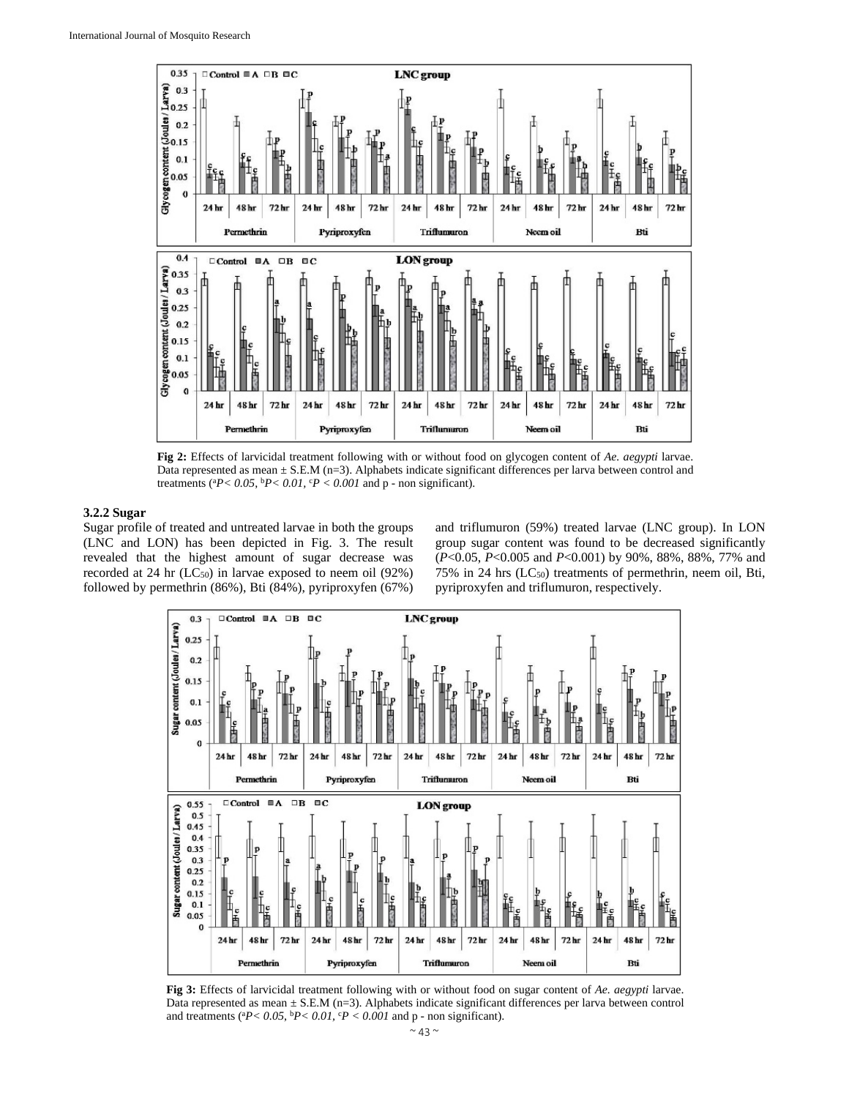

**Fig 2:** Effects of larvicidal treatment following with or without food on glycogen content of *Ae. aegypti* larvae. Data represented as mean  $\pm$  S.E.M (n=3). Alphabets indicate significant differences per larva between control and treatments ( ${}^{a}P< 0.05$ ,  ${}^{b}P< 0.01$ ,  ${}^{c}P< 0.001$  and p - non significant).

# **3.2.2 Sugar**

Sugar profile of treated and untreated larvae in both the groups (LNC and LON) has been depicted in Fig. 3. The result revealed that the highest amount of sugar decrease was recorded at 24 hr (LC<sub>50</sub>) in larvae exposed to neem oil (92%) followed by permethrin (86%), Bti (84%), pyriproxyfen (67%)

and triflumuron (59%) treated larvae (LNC group). In LON group sugar content was found to be decreased significantly (*P*<0.05, *P*<0.005 and *P*<0.001) by 90%, 88%, 88%, 77% and 75% in 24 hrs  $(LC_{50})$  treatments of permethrin, neem oil, Bti, pyriproxyfen and triflumuron, respectively.



**Fig 3:** Effects of larvicidal treatment following with or without food on sugar content of *Ae. aegypti* larvae. Data represented as mean  $\pm$  S.E.M (n=3). Alphabets indicate significant differences per larva between control and treatments ( ${}^{a}P < 0.05$ ,  ${}^{b}P < 0.01$ ,  ${}^{c}P < 0.001$  and p - non significant).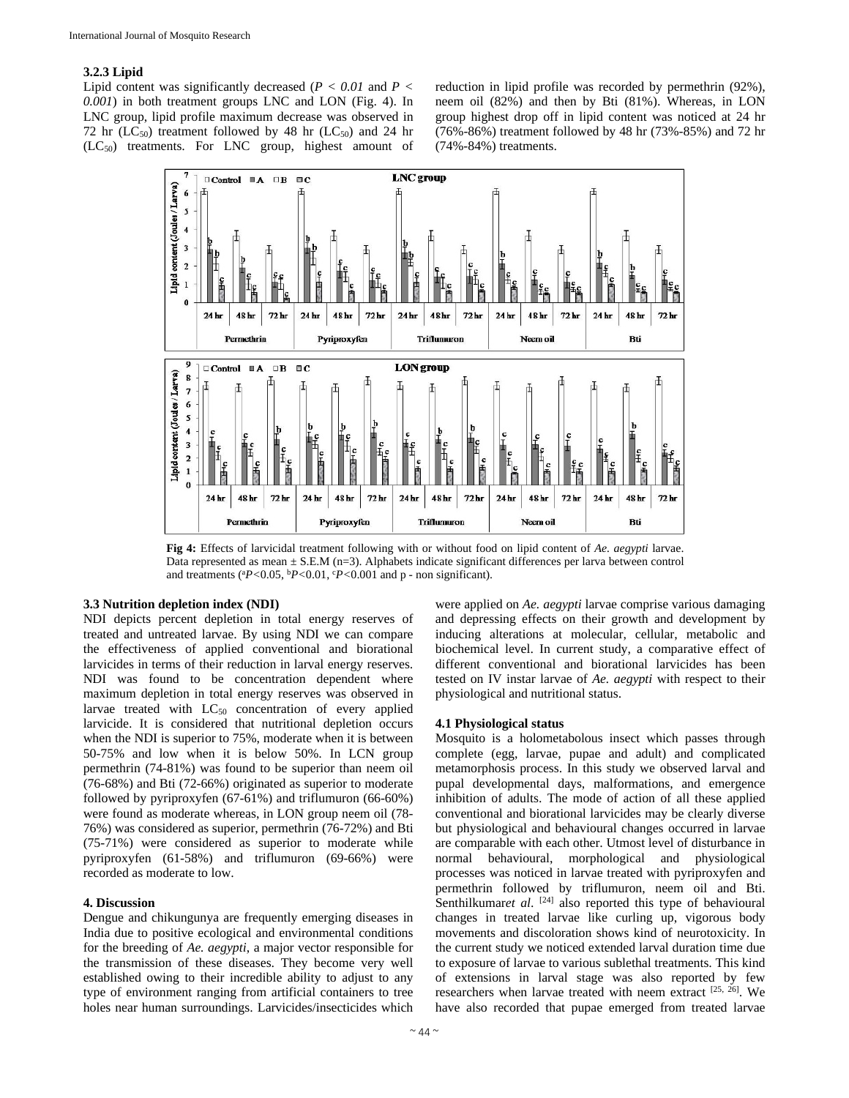# **3.2.3 Lipid**

Lipid content was significantly decreased  $(P < 0.01$  and  $P <$ *0.001*) in both treatment groups LNC and LON (Fig. 4). In LNC group, lipid profile maximum decrease was observed in 72 hr ( $LC_{50}$ ) treatment followed by 48 hr ( $LC_{50}$ ) and 24 hr  $(LC_{50})$  treatments. For LNC group, highest amount of reduction in lipid profile was recorded by permethrin (92%), neem oil (82%) and then by Bti (81%). Whereas, in LON group highest drop off in lipid content was noticed at 24 hr (76%-86%) treatment followed by 48 hr (73%-85%) and 72 hr (74%-84%) treatments.



**Fig 4:** Effects of larvicidal treatment following with or without food on lipid content of *Ae. aegypti* larvae. Data represented as mean  $\pm$  S.E.M (n=3). Alphabets indicate significant differences per larva between control and treatments (a *P<*0.05, b*P<*0.01, <sup>c</sup> *P<*0.001 and p - non significant).

# **3.3 Nutrition depletion index (NDI)**

NDI depicts percent depletion in total energy reserves of treated and untreated larvae. By using NDI we can compare the effectiveness of applied conventional and biorational larvicides in terms of their reduction in larval energy reserves. NDI was found to be concentration dependent where maximum depletion in total energy reserves was observed in larvae treated with LC<sub>50</sub> concentration of every applied larvicide. It is considered that nutritional depletion occurs when the NDI is superior to 75%, moderate when it is between 50-75% and low when it is below 50%. In LCN group permethrin (74-81%) was found to be superior than neem oil (76-68%) and Bti (72-66%) originated as superior to moderate followed by pyriproxyfen (67-61%) and triflumuron (66-60%) were found as moderate whereas, in LON group neem oil (78- 76%) was considered as superior, permethrin (76-72%) and Bti (75-71%) were considered as superior to moderate while pyriproxyfen (61-58%) and triflumuron (69-66%) were recorded as moderate to low.

#### **4. Discussion**

Dengue and chikungunya are frequently emerging diseases in India due to positive ecological and environmental conditions for the breeding of *Ae. aegypti*, a major vector responsible for the transmission of these diseases. They become very well established owing to their incredible ability to adjust to any type of environment ranging from artificial containers to tree holes near human surroundings. Larvicides/insecticides which were applied on *Ae. aegypti* larvae comprise various damaging and depressing effects on their growth and development by inducing alterations at molecular, cellular, metabolic and biochemical level. In current study, a comparative effect of different conventional and biorational larvicides has been tested on IV instar larvae of *Ae. aegypti* with respect to their physiological and nutritional status.

## **4.1 Physiological status**

Mosquito is a holometabolous insect which passes through complete (egg, larvae, pupae and adult) and complicated metamorphosis process. In this study we observed larval and pupal developmental days, malformations, and emergence inhibition of adults. The mode of action of all these applied conventional and biorational larvicides may be clearly diverse but physiological and behavioural changes occurred in larvae are comparable with each other. Utmost level of disturbance in normal behavioural, morphological and physiological processes was noticed in larvae treated with pyriproxyfen and permethrin followed by triflumuron, neem oil and Bti. Senthilkumaret al. <sup>[24]</sup> also reported this type of behavioural changes in treated larvae like curling up, vigorous body movements and discoloration shows kind of neurotoxicity. In the current study we noticed extended larval duration time due to exposure of larvae to various sublethal treatments. This kind of extensions in larval stage was also reported by few researchers when larvae treated with neem extract  $[25, 26]$ . We have also recorded that pupae emerged from treated larvae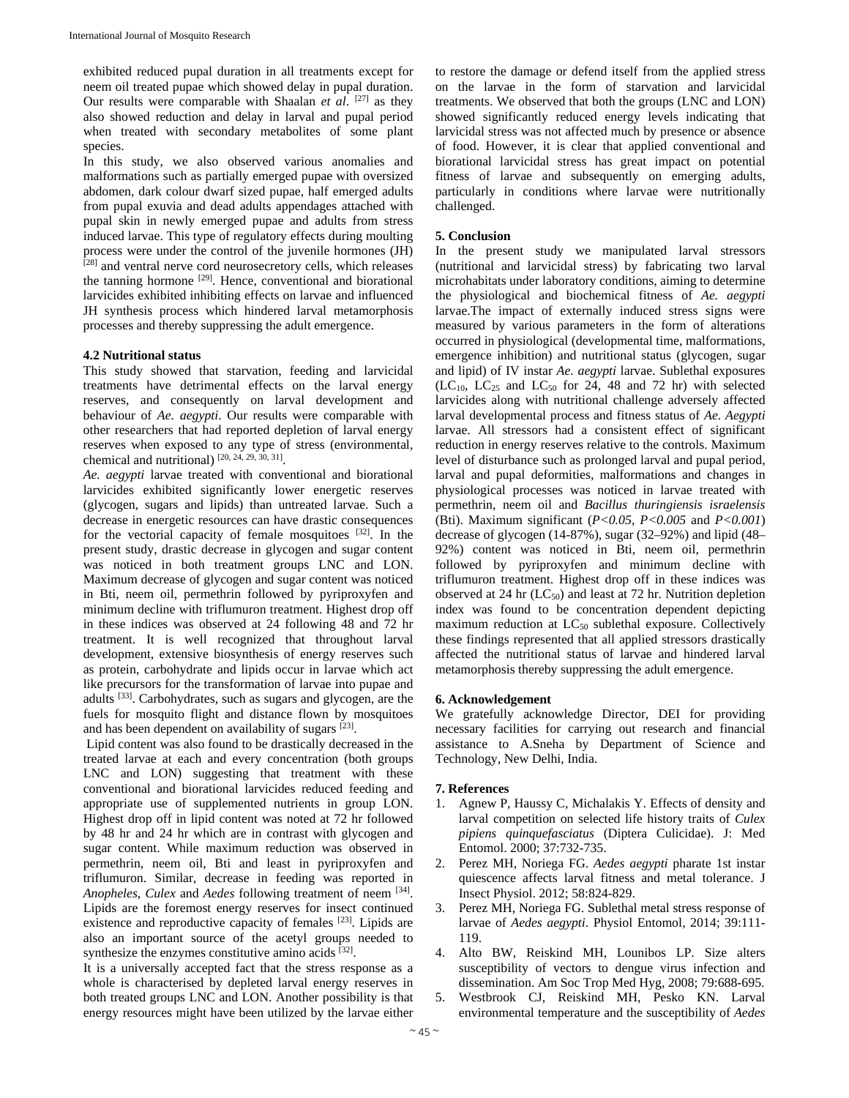exhibited reduced pupal duration in all treatments except for neem oil treated pupae which showed delay in pupal duration. Our results were comparable with Shaalan *et al.* [27] as they also showed reduction and delay in larval and pupal period when treated with secondary metabolites of some plant species.

In this study, we also observed various anomalies and malformations such as partially emerged pupae with oversized abdomen, dark colour dwarf sized pupae, half emerged adults from pupal exuvia and dead adults appendages attached with pupal skin in newly emerged pupae and adults from stress induced larvae. This type of regulatory effects during moulting process were under the control of the juvenile hormones (JH) [28] and ventral nerve cord neurosecretory cells, which releases the tanning hormone <sup>[29]</sup>. Hence, conventional and biorational larvicides exhibited inhibiting effects on larvae and influenced JH synthesis process which hindered larval metamorphosis processes and thereby suppressing the adult emergence.

# **4.2 Nutritional status**

This study showed that starvation, feeding and larvicidal treatments have detrimental effects on the larval energy reserves, and consequently on larval development and behaviour of *Ae. aegypti*. Our results were comparable with other researchers that had reported depletion of larval energy reserves when exposed to any type of stress (environmental, chemical and nutritional)  $[20, 24, 29, 30, 31]$ .

*Ae. aegypti* larvae treated with conventional and biorational larvicides exhibited significantly lower energetic reserves (glycogen, sugars and lipids) than untreated larvae. Such a decrease in energetic resources can have drastic consequences for the vectorial capacity of female mosquitoes [32]. In the present study, drastic decrease in glycogen and sugar content was noticed in both treatment groups LNC and LON. Maximum decrease of glycogen and sugar content was noticed in Bti, neem oil, permethrin followed by pyriproxyfen and minimum decline with triflumuron treatment. Highest drop off in these indices was observed at 24 following 48 and 72 hr treatment. It is well recognized that throughout larval development, extensive biosynthesis of energy reserves such as protein, carbohydrate and lipids occur in larvae which act like precursors for the transformation of larvae into pupae and adults [33]. Carbohydrates, such as sugars and glycogen, are the fuels for mosquito flight and distance flown by mosquitoes and has been dependent on availability of sugars [23].

 Lipid content was also found to be drastically decreased in the treated larvae at each and every concentration (both groups LNC and LON) suggesting that treatment with these conventional and biorational larvicides reduced feeding and appropriate use of supplemented nutrients in group LON. Highest drop off in lipid content was noted at 72 hr followed by 48 hr and 24 hr which are in contrast with glycogen and sugar content. While maximum reduction was observed in permethrin, neem oil, Bti and least in pyriproxyfen and triflumuron. Similar, decrease in feeding was reported in *Anopheles*, *Culex* and *Aedes* following treatment of neem [34]. Lipids are the foremost energy reserves for insect continued existence and reproductive capacity of females <sup>[23]</sup>. Lipids are also an important source of the acetyl groups needed to synthesize the enzymes constitutive amino acids [32].

It is a universally accepted fact that the stress response as a whole is characterised by depleted larval energy reserves in both treated groups LNC and LON. Another possibility is that energy resources might have been utilized by the larvae either

to restore the damage or defend itself from the applied stress on the larvae in the form of starvation and larvicidal treatments. We observed that both the groups (LNC and LON) showed significantly reduced energy levels indicating that larvicidal stress was not affected much by presence or absence of food. However, it is clear that applied conventional and biorational larvicidal stress has great impact on potential fitness of larvae and subsequently on emerging adults, particularly in conditions where larvae were nutritionally challenged.

## **5. Conclusion**

In the present study we manipulated larval stressors (nutritional and larvicidal stress) by fabricating two larval microhabitats under laboratory conditions, aiming to determine the physiological and biochemical fitness of *Ae. aegypti* larvae.The impact of externally induced stress signs were measured by various parameters in the form of alterations occurred in physiological (developmental time, malformations, emergence inhibition) and nutritional status (glycogen, sugar and lipid) of IV instar *Ae. aegypti* larvae. Sublethal exposures  $(LC_{10}, LC_{25}$  and  $LC_{50}$  for 24, 48 and 72 hr) with selected larvicides along with nutritional challenge adversely affected larval developmental process and fitness status of *Ae. Aegypti*  larvae. All stressors had a consistent effect of significant reduction in energy reserves relative to the controls. Maximum level of disturbance such as prolonged larval and pupal period, larval and pupal deformities, malformations and changes in physiological processes was noticed in larvae treated with permethrin, neem oil and *Bacillus thuringiensis israelensis* (Bti). Maximum significant (*P<0.05*, *P<0.005* and *P<0.001*) decrease of glycogen (14-87%), sugar (32–92%) and lipid (48– 92%) content was noticed in Bti, neem oil, permethrin followed by pyriproxyfen and minimum decline with triflumuron treatment. Highest drop off in these indices was observed at 24 hr  $(LC_{50})$  and least at 72 hr. Nutrition depletion index was found to be concentration dependent depicting maximum reduction at LC<sub>50</sub> sublethal exposure. Collectively these findings represented that all applied stressors drastically affected the nutritional status of larvae and hindered larval metamorphosis thereby suppressing the adult emergence.

## **6. Acknowledgement**

We gratefully acknowledge Director, DEI for providing necessary facilities for carrying out research and financial assistance to A.Sneha by Department of Science and Technology, New Delhi, India.

## **7. References**

- 1. Agnew P, Haussy C, Michalakis Y. Effects of density and larval competition on selected life history traits of *Culex pipiens quinquefasciatus* (Diptera Culicidae). J: Med Entomol. 2000; 37:732-735.
- 2. Perez MH, Noriega FG. *Aedes aegypti* pharate 1st instar quiescence affects larval fitness and metal tolerance. J Insect Physiol. 2012; 58:824-829.
- 3. Perez MH, Noriega FG. Sublethal metal stress response of larvae of *Aedes aegypti*. Physiol Entomol, 2014; 39:111- 119.
- 4. Alto BW, Reiskind MH, Lounibos LP. Size alters susceptibility of vectors to dengue virus infection and dissemination. Am Soc Trop Med Hyg, 2008; 79:688-695.
- 5. Westbrook CJ, Reiskind MH, Pesko KN. Larval environmental temperature and the susceptibility of *Aedes*